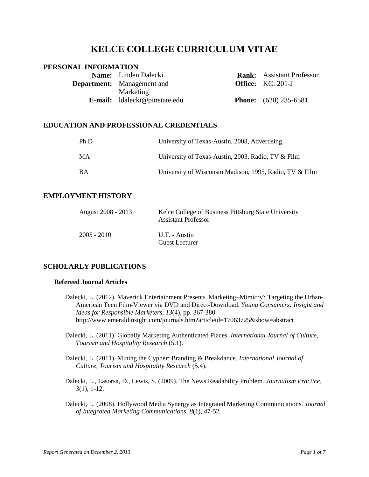# **KELCE COLLEGE CURRICULUM VITAE**

# **PERSONAL INFORMATION**

| <b>Name:</b> Linden Dalecki           | <b>Rank:</b> Assistant Professor |
|---------------------------------------|----------------------------------|
| <b>Department:</b> Management and     | <b>Office:</b> $KC: 201-J$       |
| Marketing                             |                                  |
| <b>E-mail:</b> Idalecki@pittstate.edu | <b>Phone:</b> $(620)$ 235-6581   |

# **EDUCATION AND PROFESSIONAL CREDENTIALS**

| Ph D      | University of Texas-Austin, 2008, Advertising           |
|-----------|---------------------------------------------------------|
| MA        | University of Texas-Austin, 2003, Radio, TV & Film      |
| <b>BA</b> | University of Wisconsin Madison, 1995, Radio, TV & Film |

# **EMPLOYMENT HISTORY**

| August 2008 - 2013 | Kelce College of Business Pittsburg State University<br><b>Assistant Professor</b> |
|--------------------|------------------------------------------------------------------------------------|
| $2005 - 2010$      | U.T. - Austin<br><b>Guest Lecturer</b>                                             |

# **SCHOLARLY PUBLICATIONS**

# **Refereed Journal Articles**

- Dalecki, L. (2012). Maverick Entertainment Presents 'Marketing–Mimicry': Targeting the Urban-American Teen Film-Viewer via DVD and Direct-Download. *Young Consumers: Insight and Ideas for Responsible Marketers, 13*(4), pp. 367-380. http://www.emeraldinsight.com/journals.htm?articleid=17063725&show=abstract
- Dalecki, L. (2011). Globally Marketing Authenticated Places. *International Journal of Culture, Tourism and Hospitality Research* (5.1).
- Dalecki, L. (2011). Mining the Cypher: Branding & Breakdance. *International Journal of Culture, Tourism and Hospitality Research* (5.4).
- Dalecki, L., Lasorsa, D., Lewis, S. (2009). The News Readability Problem. *Journalism Practice, 3*(1), 1-12.
- Dalecki, L. (2008). Hollywood Media Synergy as Integrated Marketing Communications. *Journal of Integrated Marketing Communications, 8*(1), 47-52.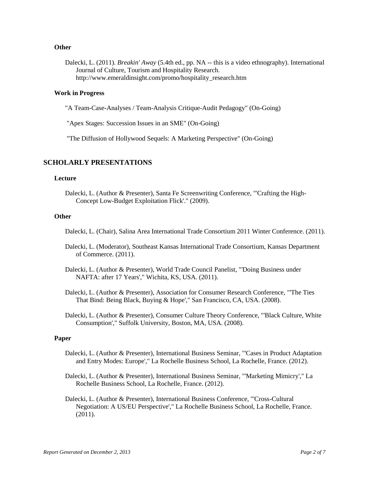#### **Other**

Dalecki, L. (2011). *Breakin' Away* (5.4th ed., pp. NA -- this is a video ethnography). International Journal of Culture, Tourism and Hospitality Research. http://www.emeraldinsight.com/promo/hospitality\_research.htm

# **Work in Progress**

"A Team-Case-Analyses / Team-Analysis Critique-Audit Pedagogy" (On-Going)

"Apex Stages: Succession Issues in an SME" (On-Going)

"The Diffusion of Hollywood Sequels: A Marketing Perspective" (On-Going)

### **SCHOLARLY PRESENTATIONS**

#### **Lecture**

Dalecki, L. (Author & Presenter), Santa Fe Screenwriting Conference, "'Crafting the High-Concept Low-Budget Exploitation Flick'." (2009).

#### **Other**

Dalecki, L. (Chair), Salina Area International Trade Consortium 2011 Winter Conference. (2011).

- Dalecki, L. (Moderator), Southeast Kansas International Trade Consortium, Kansas Department of Commerce. (2011).
- Dalecki, L. (Author & Presenter), World Trade Council Panelist, "'Doing Business under NAFTA: after 17 Years'," Wichita, KS, USA. (2011).
- Dalecki, L. (Author & Presenter), Association for Consumer Research Conference, "'The Ties That Bind: Being Black, Buying & Hope'," San Francisco, CA, USA. (2008).
- Dalecki, L. (Author & Presenter), Consumer Culture Theory Conference, "'Black Culture, White Consumption'," Suffolk University, Boston, MA, USA. (2008).

#### **Paper**

- Dalecki, L. (Author & Presenter), International Business Seminar, "'Cases in Product Adaptation and Entry Modes: Europe'," La Rochelle Business School, La Rochelle, France. (2012).
- Dalecki, L. (Author & Presenter), International Business Seminar, "'Marketing Mimicry'," La Rochelle Business School, La Rochelle, France. (2012).
- Dalecki, L. (Author & Presenter), International Business Conference, "'Cross-Cultural Negotiation: A US/EU Perspective'," La Rochelle Business School, La Rochelle, France. (2011).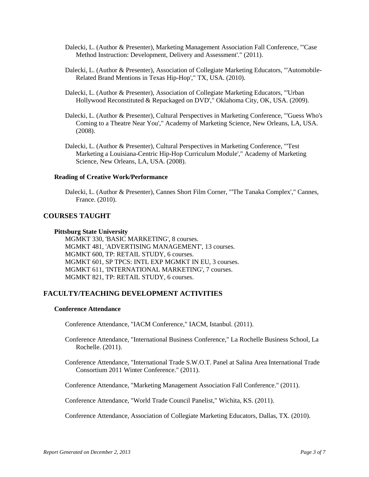- Dalecki, L. (Author & Presenter), Marketing Management Association Fall Conference, "'Case Method Instruction: Development, Delivery and Assessment'." (2011).
- Dalecki, L. (Author & Presenter), Association of Collegiate Marketing Educators, "'Automobile-Related Brand Mentions in Texas Hip-Hop'," TX, USA. (2010).
- Dalecki, L. (Author & Presenter), Association of Collegiate Marketing Educators, "'Urban Hollywood Reconstituted & Repackaged on DVD'," Oklahoma City, OK, USA. (2009).
- Dalecki, L. (Author & Presenter), Cultural Perspectives in Marketing Conference, "'Guess Who's Coming to a Theatre Near You'," Academy of Marketing Science, New Orleans, LA, USA. (2008).
- Dalecki, L. (Author & Presenter), Cultural Perspectives in Marketing Conference, "'Test Marketing a Louisiana-Centric Hip-Hop Curriculum Module'," Academy of Marketing Science, New Orleans, LA, USA. (2008).

#### **Reading of Creative Work/Performance**

Dalecki, L. (Author & Presenter), Cannes Short Film Corner, "'The Tanaka Complex'," Cannes, France. (2010).

# **COURSES TAUGHT**

#### **Pittsburg State University**

MGMKT 330, 'BASIC MARKETING', 8 courses. MGMKT 481, 'ADVERTISING MANAGEMENT', 13 courses. MGMKT 600, TP: RETAIL STUDY, 6 courses. MGMKT 601, SP TPCS: INTL EXP MGMKT IN EU, 3 courses. MGMKT 611, 'INTERNATIONAL MARKETING', 7 courses. MGMKT 821, TP: RETAIL STUDY, 6 courses.

# **FACULTY/TEACHING DEVELOPMENT ACTIVITIES**

### **Conference Attendance**

Conference Attendance, "IACM Conference," IACM, Istanbul. (2011).

- Conference Attendance, "International Business Conference," La Rochelle Business School, La Rochelle. (2011).
- Conference Attendance, "International Trade S.W.O.T. Panel at Salina Area International Trade Consortium 2011 Winter Conference." (2011).

Conference Attendance, "Marketing Management Association Fall Conference." (2011).

Conference Attendance, "World Trade Council Panelist," Wichita, KS. (2011).

Conference Attendance, Association of Collegiate Marketing Educators, Dallas, TX. (2010).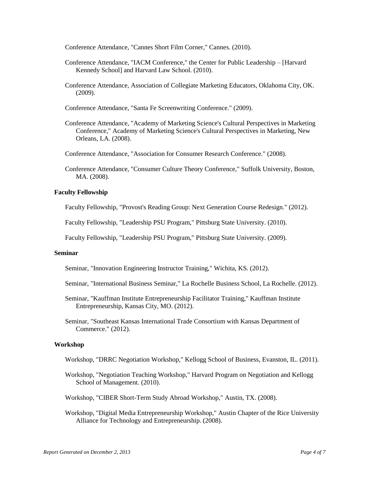Conference Attendance, "Cannes Short Film Corner," Cannes. (2010).

- Conference Attendance, "IACM Conference," the Center for Public Leadership [Harvard Kennedy School] and Harvard Law School. (2010).
- Conference Attendance, Association of Collegiate Marketing Educators, Oklahoma City, OK. (2009).

Conference Attendance, "Santa Fe Screenwriting Conference." (2009).

- Conference Attendance, "Academy of Marketing Science's Cultural Perspectives in Marketing Conference," Academy of Marketing Science's Cultural Perspectives in Marketing, New Orleans, LA. (2008).
- Conference Attendance, "Association for Consumer Research Conference." (2008).
- Conference Attendance, "Consumer Culture Theory Conference," Suffolk University, Boston, MA. (2008).

#### **Faculty Fellowship**

Faculty Fellowship, "Provost's Reading Group: Next Generation Course Redesign." (2012).

Faculty Fellowship, "Leadership PSU Program," Pittsburg State University. (2010).

Faculty Fellowship, "Leadership PSU Program," Pittsburg State University. (2009).

#### **Seminar**

Seminar, "Innovation Engineering Instructor Training," Wichita, KS. (2012).

- Seminar, "International Business Seminar," La Rochelle Business School, La Rochelle. (2012).
- Seminar, "Kauffman Institute Entrepreneurship Facilitator Training," Kauffman Institute Entrepreneurship, Kansas City, MO. (2012).
- Seminar, "Southeast Kansas International Trade Consortium with Kansas Department of Commerce." (2012).

### **Workshop**

- Workshop, "DRRC Negotiation Workshop," Kellogg School of Business, Evanston, IL. (2011).
- Workshop, "Negotiation Teaching Workshop," Harvard Program on Negotiation and Kellogg School of Management. (2010).
- Workshop, "CIBER Short-Term Study Abroad Workshop," Austin, TX. (2008).
- Workshop, "Digital Media Entrepreneurship Workshop," Austin Chapter of the Rice University Alliance for Technology and Entrepreneurship. (2008).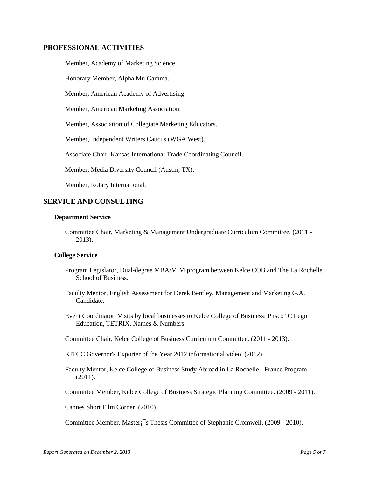# **PROFESSIONAL ACTIVITIES**

Member, Academy of Marketing Science.

Honorary Member, Alpha Mu Gamma.

Member, American Academy of Advertising.

Member, American Marketing Association.

Member, Association of Collegiate Marketing Educators.

Member, Independent Writers Caucus (WGA West).

Associate Chair, Kansas International Trade Coordinating Council.

Member, Media Diversity Council (Austin, TX).

Member, Rotary International.

# **SERVICE AND CONSULTING**

#### **Department Service**

Committee Chair, Marketing & Management Undergraduate Curriculum Committee. (2011 - 2013).

# **College Service**

- Program Legislator, Dual-degree MBA/MIM program between Kelce COB and The La Rochelle School of Business.
- Faculty Mentor, English Assessment for Derek Bentley, Management and Marketing G.A. Candidate.

Event Coordinator, Visits by local businesses to Kelce College of Business: Pitsco ¨C Lego Education, TETRIX, Names & Numbers.

Committee Chair, Kelce College of Business Curriculum Committee. (2011 - 2013).

KITCC Governor's Exporter of the Year 2012 informational video. (2012).

Faculty Mentor, Kelce College of Business Study Abroad in La Rochelle - France Program. (2011).

Committee Member, Kelce College of Business Strategic Planning Committee. (2009 - 2011).

Cannes Short Film Corner. (2010).

Committee Member, Master¡¯s Thesis Committee of Stephanie Cromwell. (2009 - 2010).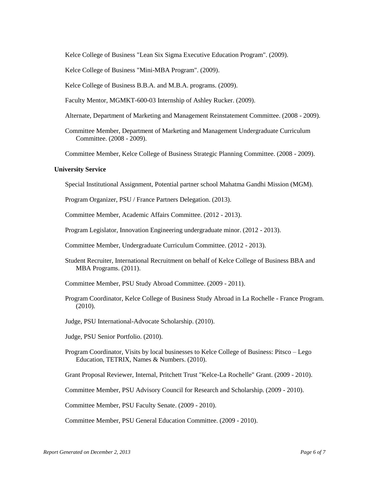Kelce College of Business "Lean Six Sigma Executive Education Program". (2009).

Kelce College of Business "Mini-MBA Program". (2009).

Kelce College of Business B.B.A. and M.B.A. programs. (2009).

Faculty Mentor, MGMKT-600-03 Internship of Ashley Rucker. (2009).

- Alternate, Department of Marketing and Management Reinstatement Committee. (2008 2009).
- Committee Member, Department of Marketing and Management Undergraduate Curriculum Committee. (2008 - 2009).

Committee Member, Kelce College of Business Strategic Planning Committee. (2008 - 2009).

### **University Service**

Special Institutional Assignment, Potential partner school Mahatma Gandhi Mission (MGM).

Program Organizer, PSU / France Partners Delegation. (2013).

Committee Member, Academic Affairs Committee. (2012 - 2013).

Program Legislator, Innovation Engineering undergraduate minor. (2012 - 2013).

Committee Member, Undergraduate Curriculum Committee. (2012 - 2013).

- Student Recruiter, International Recruitment on behalf of Kelce College of Business BBA and MBA Programs. (2011).
- Committee Member, PSU Study Abroad Committee. (2009 2011).
- Program Coordinator, Kelce College of Business Study Abroad in La Rochelle France Program. (2010).
- Judge, PSU International-Advocate Scholarship. (2010).
- Judge, PSU Senior Portfolio. (2010).
- Program Coordinator, Visits by local businesses to Kelce College of Business: Pitsco Lego Education, TETRIX, Names & Numbers. (2010).

Grant Proposal Reviewer, Internal, Pritchett Trust "Kelce-La Rochelle" Grant. (2009 - 2010).

Committee Member, PSU Advisory Council for Research and Scholarship. (2009 - 2010).

Committee Member, PSU Faculty Senate. (2009 - 2010).

Committee Member, PSU General Education Committee. (2009 - 2010).